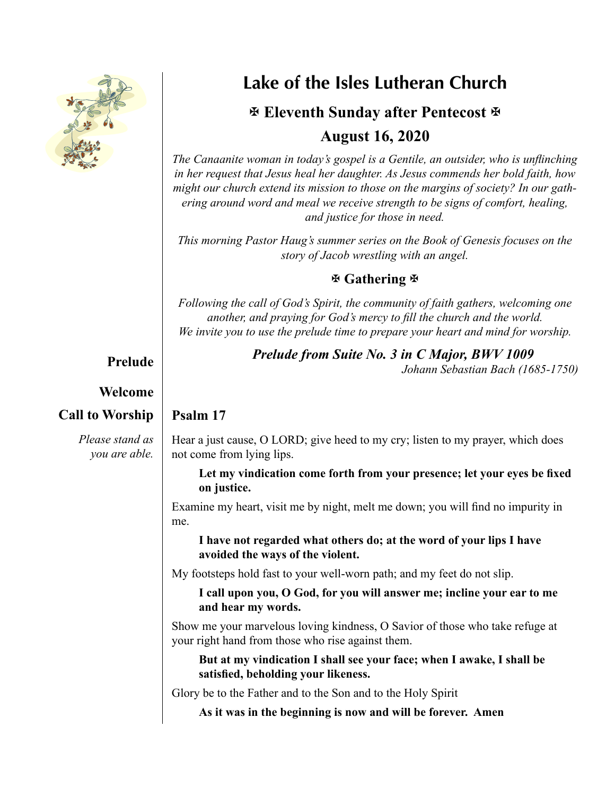

# **Lake of the Isles Lutheran Church**

# **Eleventh Sunday after Pentecost August 16, 2020**

*The Canaanite woman in today's gospel is a Gentile, an outsider, who is unflinching in her request that Jesus heal her daughter. As Jesus commends her bold faith, how might our church extend its mission to those on the margins of society? In our gathering around word and meal we receive strength to be signs of comfort, healing, and justice for those in need.*

*This morning Pastor Haug's summer series on the Book of Genesis focuses on the story of Jacob wrestling with an angel.*

## **Gathering**

*Following the call of God's Spirit, the community of faith gathers, welcoming one another, and praying for God's mercy to fill the church and the world. We invite you to use the prelude time to prepare your heart and mind for worship.*

#### *Prelude from Suite No. 3 in C Major, BWV 1009 Johann Sebastian Bach (1685-1750)* **Prelude**

**Welcome**

# **Call to Worship**

*Please stand as you are able.*

# **Psalm 17**

Hear a just cause, O LORD; give heed to my cry; listen to my prayer, which does not come from lying lips.

 **Let my vindication come forth from your presence; let your eyes be fixed on justice.** 

Examine my heart, visit me by night, melt me down; you will find no impurity in me.

**I have not regarded what others do; at the word of your lips I have avoided the ways of the violent.** 

My footsteps hold fast to your well-worn path; and my feet do not slip.

**I call upon you, O God, for you will answer me; incline your ear to me and hear my words.** 

Show me your marvelous loving kindness, O Savior of those who take refuge at your right hand from those who rise against them.

**But at my vindication I shall see your face; when I awake, I shall be satisfied, beholding your likeness.**

Glory be to the Father and to the Son and to the Holy Spirit

**As it was in the beginning is now and will be forever. Amen**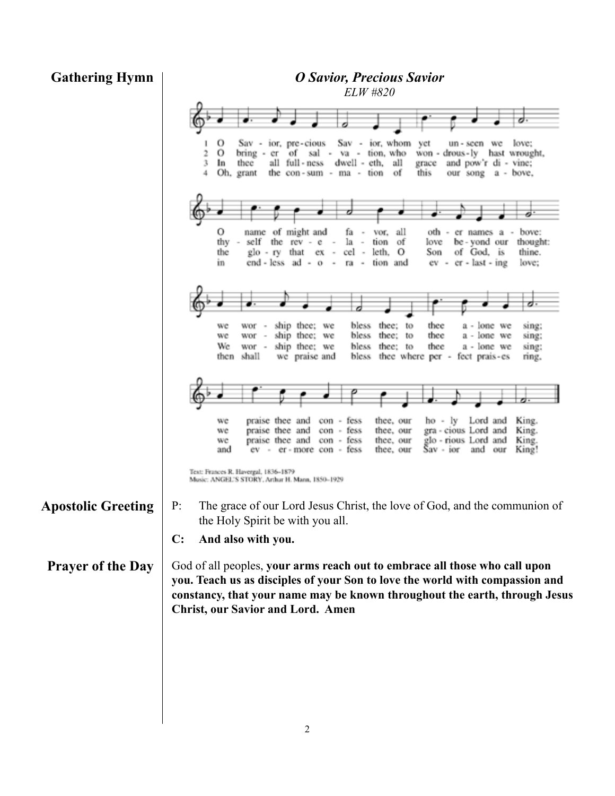#### **Gathering Hymn**

| <b>Gathering Hymn</b>     | <b>O Savior, Precious Savior</b>                                                                                                                                                                                                                                                                                                                                             |  |  |
|---------------------------|------------------------------------------------------------------------------------------------------------------------------------------------------------------------------------------------------------------------------------------------------------------------------------------------------------------------------------------------------------------------------|--|--|
|                           | <b>ELW #820</b><br>о<br>Sav - ior, whom<br>Sav - jor, pre-cious<br>yet<br>love:<br>un-seen we<br>2<br>о<br>bring - er of sal - va - tion, who<br>won - drous-ly hast wrought,<br>3<br>thee<br>all full-ness<br>dwell - eth, all<br>and pow'r di - vine;<br>In<br>grace<br>Oh, grant<br>this<br>the $con-sum - ma - tion$<br>our song a - bove,<br>4<br>- of                  |  |  |
|                           | O<br>name of might and<br>fa - vor.<br>all<br>oth - er names a -<br>bove:<br>о<br>self the rev - e<br>la -<br>tion of<br>be-yond our<br>thy -<br>$\sim$<br>love<br>thought:<br>cel - leth, O<br>of God, is<br>thine.<br>the<br>$g$ lo - ry that $ex$ -<br>Son<br>$end - less$ ad - $o -$<br>$ev - cr - last - ing$<br>love:<br>ra - tion and<br>m                            |  |  |
|                           | bless thee;<br>wor - ship thee; we<br>to<br>thee<br>a - lone we<br>we<br>sing;<br>bless thee; to<br>thee<br>ship thee; we<br>a - lone we<br>we<br>wor -<br>sing;<br>thee<br>We<br>wor - ship thee; we<br>bless thee; to<br>a - lone we<br>sing:<br>then shall<br>we praise and<br>bless thee where per - fect prais-es<br>ring,                                              |  |  |
|                           | p.<br>ho - ly Lord and<br>praise thee and con - fess<br>thee, our<br>King.<br>we<br>gra-cious Lord and<br>praise thee and con - fess<br>thee, our<br>King.<br>we<br>praise thee and con - fess<br>thee, our<br>glo - rious Lord and<br>King.<br>wc<br>and<br>thee, our<br>King!<br>ev - er-more con - fess<br>$Sav - vor$<br>and our<br>Text: Frances R. Havergal, 1836-1879 |  |  |
| <b>Apostolic Greeting</b> | Music: ANGEL'S STORY, Arthur H. Mann, 1850-1929<br>P:<br>The grace of our Lord Jesus Christ, the love of God, and the communion of<br>the Holy Spirit be with you all.<br>And also with you.<br>$\mathbf{C}$ :                                                                                                                                                               |  |  |
| <b>Prayer of the Day</b>  | God of all peoples, your arms reach out to embrace all those who call upon<br>you. Teach us as disciples of your Son to love the world with compassion and<br>constancy, that your name may be known throughout the earth, through Jesus<br><b>Christ, our Savior and Lord. Amen</b>                                                                                         |  |  |
|                           |                                                                                                                                                                                                                                                                                                                                                                              |  |  |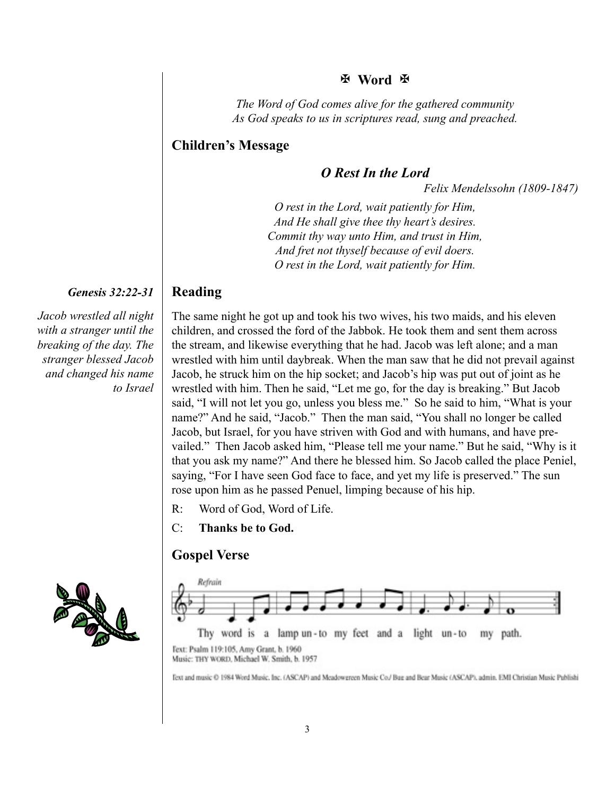#### **Word**

*The Word of God comes alive for the gathered community As God speaks to us in scriptures read, sung and preached.*

# **Children's Message**

**Reading**

# *O Rest In the Lord*

*Felix Mendelssohn (1809-1847)*

*O rest in the Lord, wait patiently for Him, And He shall give thee thy heart's desires. Commit thy way unto Him, and trust in Him, And fret not thyself because of evil doers. O rest in the Lord, wait patiently for Him.*

#### *Genesis 32:22-31*

*Jacob wrestled all night with a stranger until the breaking of the day. The stranger blessed Jacob and changed his name to Israel* The same night he got up and took his two wives, his two maids, and his eleven children, and crossed the ford of the Jabbok. He took them and sent them across the stream, and likewise everything that he had. Jacob was left alone; and a man wrestled with him until daybreak. When the man saw that he did not prevail against Jacob, he struck him on the hip socket; and Jacob's hip was put out of joint as he wrestled with him. Then he said, "Let me go, for the day is breaking." But Jacob said, "I will not let you go, unless you bless me." So he said to him, "What is your name?" And he said, "Jacob." Then the man said, "You shall no longer be called Jacob, but Israel, for you have striven with God and with humans, and have prevailed." Then Jacob asked him, "Please tell me your name." But he said, "Why is it that you ask my name?" And there he blessed him. So Jacob called the place Peniel, saying, "For I have seen God face to face, and yet my life is preserved." The sun rose upon him as he passed Penuel, limping because of his hip.

- R: Word of God, Word of Life.
- C: **Thanks be to God.**

# **Gospel Verse**





Text: Psalm 119:105, Amy Grant, b. 1960 Music: THY WORD, Michael W. Smith, b. 1957

Text and music @ 1984 Word Music, Inc. (ASCAP) and Meadowgreen Music Co./ Bug and Bear Music (ASCAP), admin. EMI Christian Music Publishi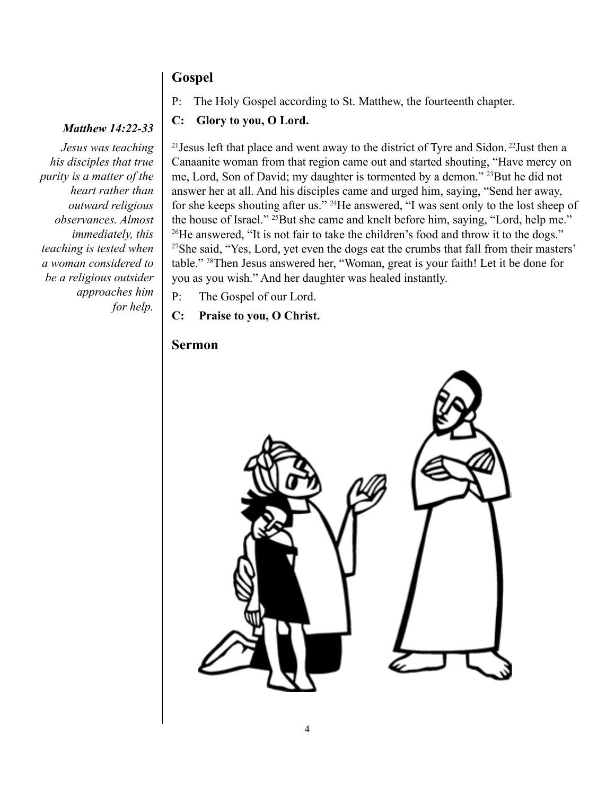#### **Gospel**

#### P: The Holy Gospel according to St. Matthew, the fourteenth chapter.

#### *Matthew 14:22-33*

*Jesus was teaching his disciples that true purity is a matter of the heart rather than outward religious observances. Almost immediately, this teaching is tested when a woman considered to be a religious outsider approaches him for help.*

#### **C: Glory to you, O Lord.**

<sup>21</sup> Jesus left that place and went away to the district of Tyre and Sidon. <sup>22</sup> Just then a Canaanite woman from that region came out and started shouting, "Have mercy on me, Lord, Son of David; my daughter is tormented by a demon." 23But he did not answer her at all. And his disciples came and urged him, saying, "Send her away, for she keeps shouting after us." 24He answered, "I was sent only to the lost sheep of the house of Israel." <sup>25</sup>But she came and knelt before him, saying, "Lord, help me." <sup>26</sup>He answered, "It is not fair to take the children's food and throw it to the dogs." <sup>27</sup>She said, "Yes, Lord, yet even the dogs eat the crumbs that fall from their masters' table." 28Then Jesus answered her, "Woman, great is your faith! Let it be done for you as you wish." And her daughter was healed instantly.

P: The Gospel of our Lord.

#### **C: Praise to you, O Christ.**

#### **Sermon**

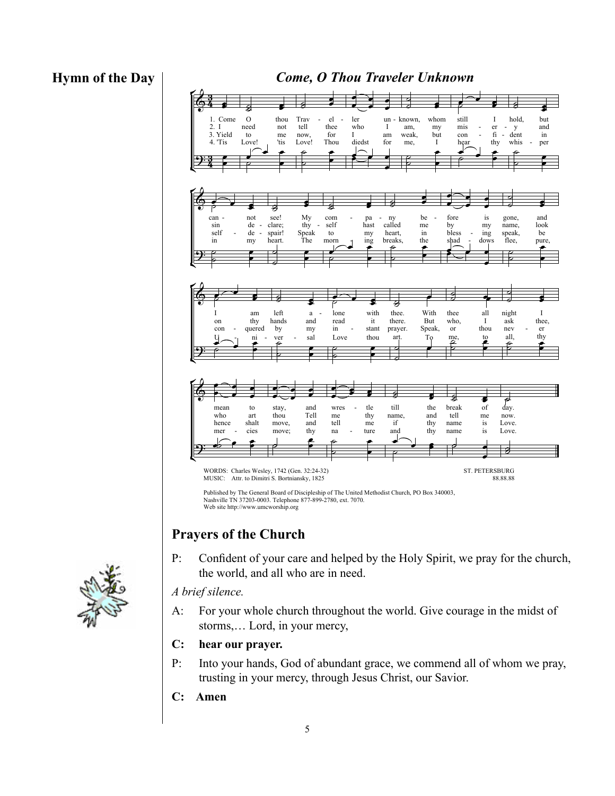**Hymn of the Day** *Come, O Thou Traveler Unknown* Come, O Thou Traveler Unknown  $\overline{I}$ veler Unknown



Published by The General Board of Discipleship of The United Methodist Church, PO Box 340003,<br>Nashville TN 37203-0003. Telephone 877-899-2780, ext. 7070. MUSIC: Attr. to Dimitri S. Bortonic S. Attr. to Dimitri S. Bortonic S. Attr. to the Music S. Attr. to the Music S. Attr. to the Music S. Web site http://www.umcworship.org

# Prayers of the Church

P: Confident of your care and helped by the Holy Spirit, we pray for the church, the world, and all who are in need.

#### *A brief silence.*

A: For your whole church throughout the world. Give courage in the midst of storms,… Lord, in your mercy,

#### **C: hear our prayer.**

- P: Into your hands, God of abundant grace, we commend all of whom we pray, trusting in your mercy, through Jesus Christ, our Savior.
- **C: Amen**

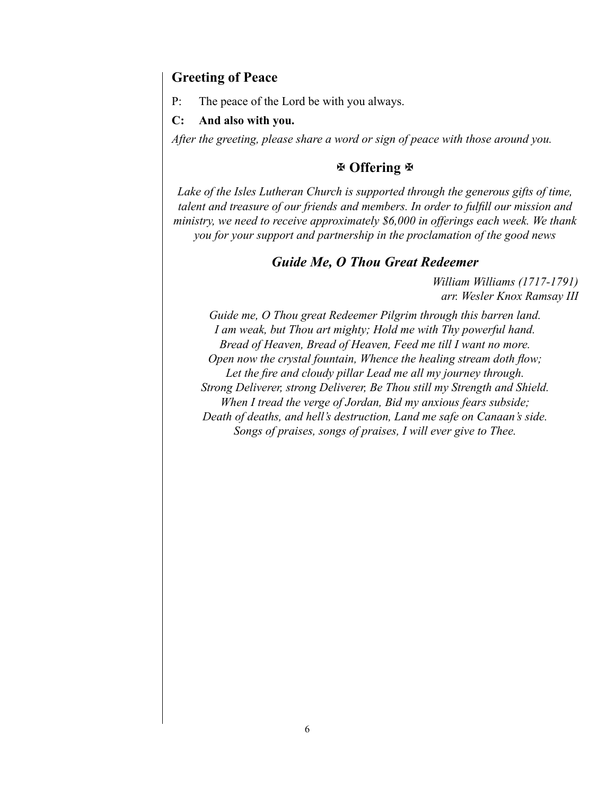#### **Greeting of Peace**

P: The peace of the Lord be with you always.

#### **C: And also with you.**

*After the greeting, please share a word or sign of peace with those around you.*

#### **Offering**

Lake of the Isles Lutheran Church is supported through the generous gifts of time, *talent and treasure of our friends and members. In order to fulfill our mission and ministry, we need to receive approximately \$6,000 in offerings each week. We thank you for your support and partnership in the proclamation of the good news*

#### *Guide Me, O Thou Great Redeemer*

*William Williams (1717-1791) arr. Wesler Knox Ramsay III*

*Guide me, O Thou great Redeemer Pilgrim through this barren land. I am weak, but Thou art mighty; Hold me with Thy powerful hand. Bread of Heaven, Bread of Heaven, Feed me till I want no more. Open now the crystal fountain, Whence the healing stream doth flow; Let the fire and cloudy pillar Lead me all my journey through. Strong Deliverer, strong Deliverer, Be Thou still my Strength and Shield. When I tread the verge of Jordan, Bid my anxious fears subside; Death of deaths, and hell's destruction, Land me safe on Canaan's side. Songs of praises, songs of praises, I will ever give to Thee.*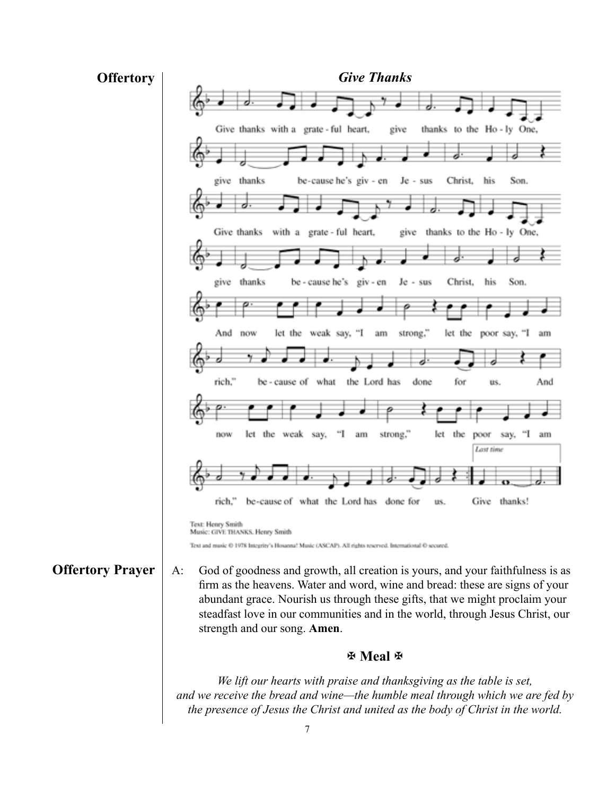

#### **Meal**

*We lift our hearts with praise and thanksgiving as the table is set, and we receive the bread and wine—the humble meal through which we are fed by the presence of Jesus the Christ and united as the body of Christ in the world.*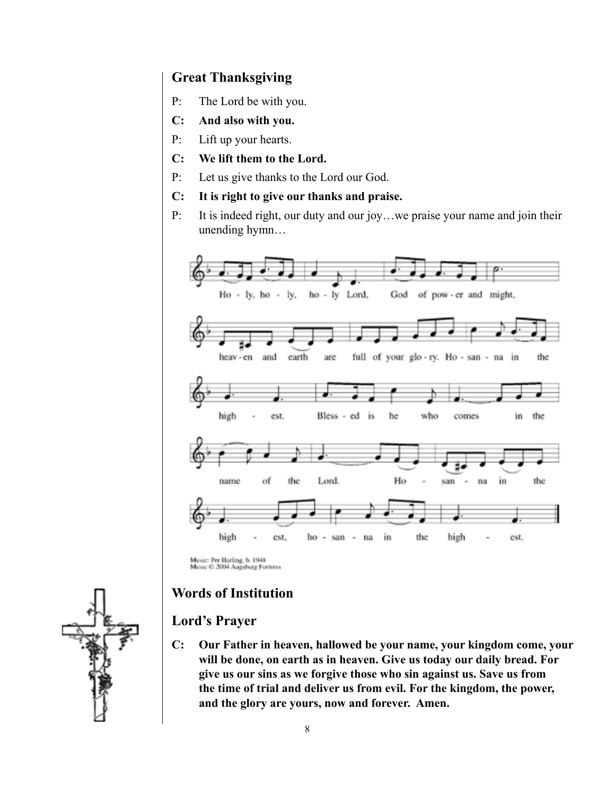## **Great Thanksgiving**

- P: The Lord be with you.
- **C: And also with you.**
- P: Lift up your hearts.
- **C: We lift them to the Lord.**
- P: Let us give thanks to the Lord our God.
- **C: It is right to give our thanks and praise.**
- P: It is indeed right, our duty and our joy...we praise your name and join their unending hymn…



Music: Per Harling, b. 1948<br>Music © 2004 Augsburg Fortress

# **Words of Institution**

## **Lord's Prayer**

**C: Our Father in heaven, hallowed be your name, your kingdom come, your will be done, on earth as in heaven. Give us today our daily bread. For give us our sins as we forgive those who sin against us. Save us from the time of trial and deliver us from evil. For the kingdom, the power, and the glory are yours, now and forever. Amen.**

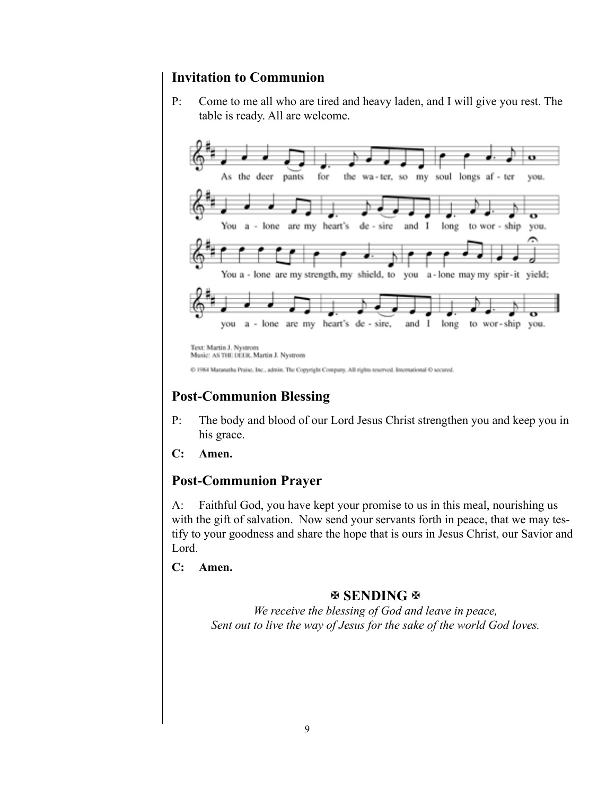#### **Invitation to Communion**

P: Come to me all who are tired and heavy laden, and I will give you rest. The table is ready. All are welcome.



## **Post-Communion Blessing**

- P: The body and blood of our Lord Jesus Christ strengthen you and keep you in his grace.
- **C: Amen.**

#### **Post-Communion Prayer**

A: Faithful God, you have kept your promise to us in this meal, nourishing us with the gift of salvation. Now send your servants forth in peace, that we may testify to your goodness and share the hope that is ours in Jesus Christ, our Savior and Lord.

#### **C: Amen.**

#### **图 SENDING 图**

*We receive the blessing of God and leave in peace, Sent out to live the way of Jesus for the sake of the world God loves.*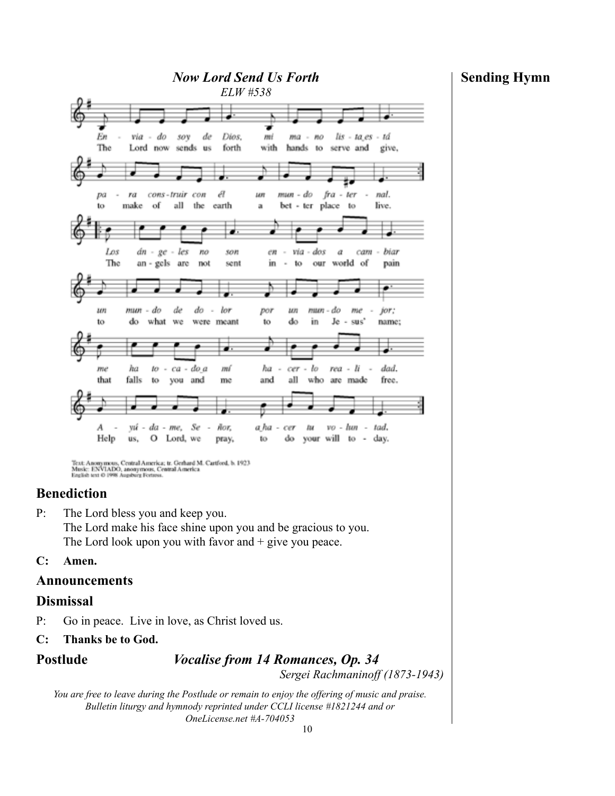

*OneLicense.net #A-704053*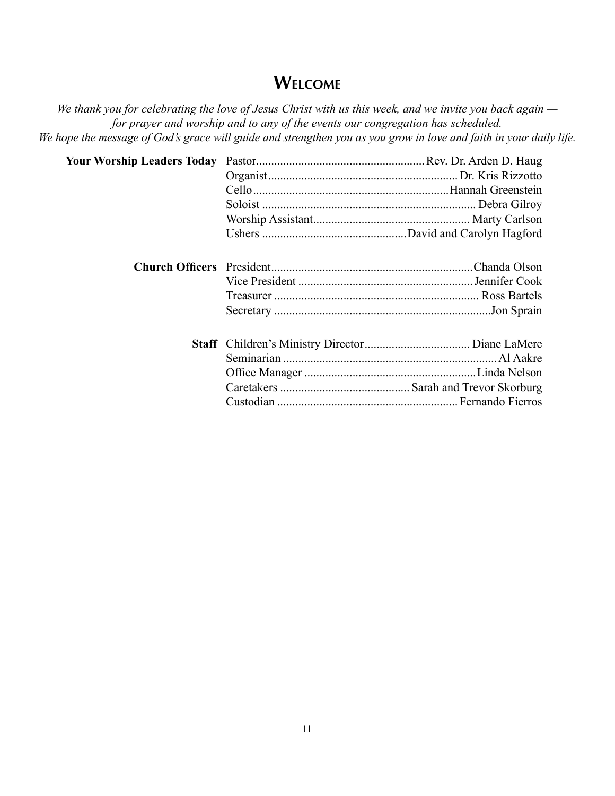# **Welcome**

*We thank you for celebrating the love of Jesus Christ with us this week, and we invite you back again for prayer and worship and to any of the events our congregation has scheduled. We hope the message of God's grace will guide and strengthen you as you grow in love and faith in your daily life.* 

| <b>Your Worship Leaders Today</b> |  |
|-----------------------------------|--|
|                                   |  |
|                                   |  |
|                                   |  |
|                                   |  |
|                                   |  |
| <b>Church Officers</b>            |  |
|                                   |  |
|                                   |  |
|                                   |  |
|                                   |  |
|                                   |  |
|                                   |  |
|                                   |  |
|                                   |  |